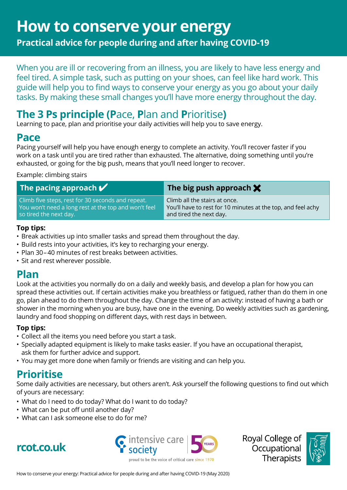# **How to conserve your energy**

**Practical advice for people during and after having COVID-19**

When you are ill or recovering from an illness, you are likely to have less energy and feel tired. A simple task, such as putting on your shoes, can feel like hard work. This guide will help you to find ways to conserve your energy as you go about your daily tasks. By making these small changes you'll have more energy throughout the day.

# **The 3 Ps principle (P**ace, **P**lan and **P**rioritise**)**

Learning to pace, plan and prioritise your daily activities will help you to save energy.

# **Pace**

Pacing yourself will help you have enough energy to complete an activity. You'll recover faster if you work on a task until you are tired rather than exhausted. The alternative, doing something until you're exhausted, or going for the big push, means that you'll need longer to recover.

#### Example: climbing stairs

| The pacing approach $\blacktriangledown$             | The big push approach $\bigtimes$                            |
|------------------------------------------------------|--------------------------------------------------------------|
| Climb five steps, rest for 30 seconds and repeat.    | Climb all the stairs at once.                                |
| You won't need a long rest at the top and won't feel | You'll have to rest for 10 minutes at the top, and feel achy |
| so tired the next day.                               | and tired the next day.                                      |

#### **Top tips:**

- Break activities up into smaller tasks and spread them throughout the day.
- Build rests into your activities, it's key to recharging your energy.
- Plan 30– 40 minutes of rest breaks between activities.
- Sit and rest wherever possible.

# **Plan**

Look at the activities you normally do on a daily and weekly basis, and develop a plan for how you can spread these activities out. If certain activities make you breathless or fatigued, rather than do them in one go, plan ahead to do them throughout the day. Change the time of an activity: instead of having a bath or shower in the morning when you are busy, have one in the evening. Do weekly activities such as gardening, laundry and food shopping on different days, with rest days in between.

### **Top tips:**

- Collect all the items you need before you start a task.
- Specially adapted equipment is likely to make tasks easier. If you have an occupational therapist, ask them for further advice and support.
- You may get more done when family or friends are visiting and can help you.

# **Prioritise**

Some daily activities are necessary, but others aren't. Ask yourself the following questions to find out which of yours are necessary:

- What do I need to do today? What do I want to do today?
- What can be put off until another day?
- What can I ask someone else to do for me?





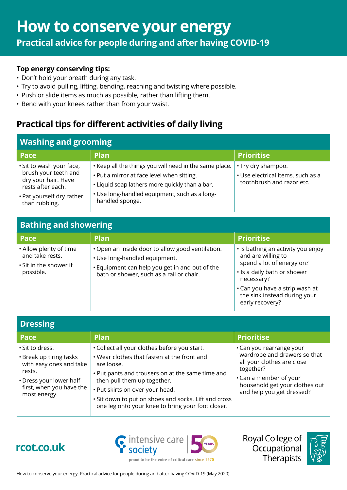**Practical advice for people during and after having COVID-19**

#### **Top energy conserving tips:**

- Don't hold your breath during any task.
- Try to avoid pulling, lifting, bending, reaching and twisting where possible.
- Push or slide items as much as possible, rather than lifting them.
- Bend with your knees rather than from your waist.

# **Practical tips for different activities of daily living**

| <b>Pace</b>                                | <b>Plan</b>                                                      | <b>Prioritise</b>                 |
|--------------------------------------------|------------------------------------------------------------------|-----------------------------------|
| · Sit to wash your face,                   | . Keep all the things you will need in the same place.           | • Try dry shampoo.                |
| brush your teeth and                       | • Put a mirror at face level when sitting.                       | • Use electrical items, such as a |
| dry your hair. Have<br>rests after each.   | . Liquid soap lathers more quickly than a bar.                   | toothbrush and razor etc.         |
| • Pat yourself dry rather<br>than rubbing. | • Use long-handled equipment, such as a long-<br>handled sponge. |                                   |

## **Bathing and showering**

| Pace                                                                             | <b>Plan</b>                                                                                                                                                                     | <b>Prioritise</b>                                                                                                                                                                                                       |
|----------------------------------------------------------------------------------|---------------------------------------------------------------------------------------------------------------------------------------------------------------------------------|-------------------------------------------------------------------------------------------------------------------------------------------------------------------------------------------------------------------------|
| . Allow plenty of time<br>and take rests.<br>• Sit in the shower if<br>possible. | • Open an inside door to allow good ventilation.<br>· Use long-handled equipment.<br>. Equipment can help you get in and out of the<br>bath or shower, such as a rail or chair. | • Is bathing an activity you enjoy<br>and are willing to<br>spend a lot of energy on?<br>• Is a daily bath or shower<br>necessary?<br>• Can you have a strip wash at<br>the sink instead during your<br>early recovery? |

| <b>Dressing</b>                                                                                                                                        |                                                                                                                                                                                                                                                                                                                                              |                                                                                                                                                                                              |
|--------------------------------------------------------------------------------------------------------------------------------------------------------|----------------------------------------------------------------------------------------------------------------------------------------------------------------------------------------------------------------------------------------------------------------------------------------------------------------------------------------------|----------------------------------------------------------------------------------------------------------------------------------------------------------------------------------------------|
| Pace                                                                                                                                                   | <b>Plan</b>                                                                                                                                                                                                                                                                                                                                  | <b>Prioritise</b>                                                                                                                                                                            |
| · Sit to dress.<br>• Break up tiring tasks<br>with easy ones and take<br>rests.<br>• Dress your lower half<br>first, when you have the<br>most energy. | • Collect all your clothes before you start.<br>. Wear clothes that fasten at the front and<br>are loose.<br>• Put pants and trousers on at the same time and<br>then pull them up together.<br>• Put skirts on over your head.<br>· Sit down to put on shoes and socks. Lift and cross<br>one leg onto your knee to bring your foot closer. | • Can you rearrange your<br>wardrobe and drawers so that<br>all your clothes are close<br>together?<br>• Can a member of your<br>household get your clothes out<br>and help you get dressed? |





proud to be the voice of critical care since 1970

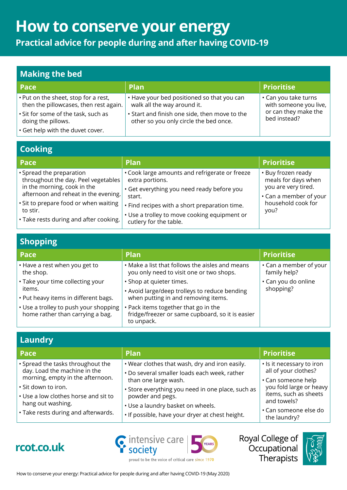# **How to conserve your energy**

**Practical advice for people during and after having COVID-19**

## **Making the bed**

| Pace                                                                           | <b>Plan</b>                                                                             | <b>Prioritise</b>                              |
|--------------------------------------------------------------------------------|-----------------------------------------------------------------------------------------|------------------------------------------------|
| . Put on the sheet, stop for a rest,<br>then the pillowcases, then rest again. | • Have your bed positioned so that you can<br>walk all the way around it.               | • Can you take turns<br>with someone you live, |
| • Sit for some of the task, such as<br>doing the pillows.                      | • Start and finish one side, then move to the<br>other so you only circle the bed once. | or can they make the<br>bed instead?           |
| . Get help with the duvet cover.                                               |                                                                                         |                                                |

## **Cooking**

| Pace                                                                                                                                   | Plan                                                                                                                              | <b>Prioritise</b>                                                |
|----------------------------------------------------------------------------------------------------------------------------------------|-----------------------------------------------------------------------------------------------------------------------------------|------------------------------------------------------------------|
| • Spread the preparation<br>throughout the day. Peel vegetables<br>in the morning, cook in the<br>afternoon and reheat in the evening. | • Cook large amounts and refrigerate or freeze<br>extra portions.<br>• Get everything you need ready before you                   | • Buy frozen ready<br>meals for days when<br>you are very tired. |
| . Sit to prepare food or when waiting<br>to stir.<br>• Take rests during and after cooking.                                            | start.<br>. Find recipes with a short preparation time.<br>• Use a trolley to move cooking equipment or<br>cutlery for the table. | • Can a member of your<br>household cook for<br>you?             |

# **Shopping**

| Pace                                                                               | <b>Plan</b>                                                                                                      | <b>Prioritise</b>                            |
|------------------------------------------------------------------------------------|------------------------------------------------------------------------------------------------------------------|----------------------------------------------|
| • Have a rest when you get to<br>the shop.                                         | • Make a list that follows the aisles and means<br>you only need to visit one or two shops.                      | $\cdot$ Can a member of your<br>family help? |
| • Take your time collecting your<br>items.<br>• Put heavy items in different bags. | · Shop at quieter times.<br>• Avoid large/deep trolleys to reduce bending<br>when putting in and removing items. | • Can you do online<br>shopping?             |
| • Use a trolley to push your shopping<br>home rather than carrying a bag.          | . Pack items together that go in the<br>fridge/freezer or same cupboard, so it is easier<br>to unpack.           |                                              |

## **Laundry**

| Pace                                                                                                                                                                                                                             | Plan                                                                                                                                                                                                                                                                                    | <b>Prioritise</b>                                                                                                                                                                   |
|----------------------------------------------------------------------------------------------------------------------------------------------------------------------------------------------------------------------------------|-----------------------------------------------------------------------------------------------------------------------------------------------------------------------------------------------------------------------------------------------------------------------------------------|-------------------------------------------------------------------------------------------------------------------------------------------------------------------------------------|
| · Spread the tasks throughout the<br>day. Load the machine in the<br>morning, empty in the afternoon.<br>· Sit down to iron.<br>• Use a low clothes horse and sit to<br>hang out washing.<br>• Take rests during and afterwards. | . Wear clothes that wash, dry and iron easily.<br>• Do several smaller loads each week, rather<br>than one large wash.<br>• Store everything you need in one place, such as<br>powder and pegs.<br>• Use a laundry basket on wheels.<br>. If possible, have your dryer at chest height. | · Is it necessary to iron<br>all of your clothes?<br>• Can someone help<br>you fold large or heavy<br>items, such as sheets<br>and towels?<br>• Can someone else do<br>the laundry? |

proud to be the voice of critical care since 1970







Royal College of Occupational Therapists